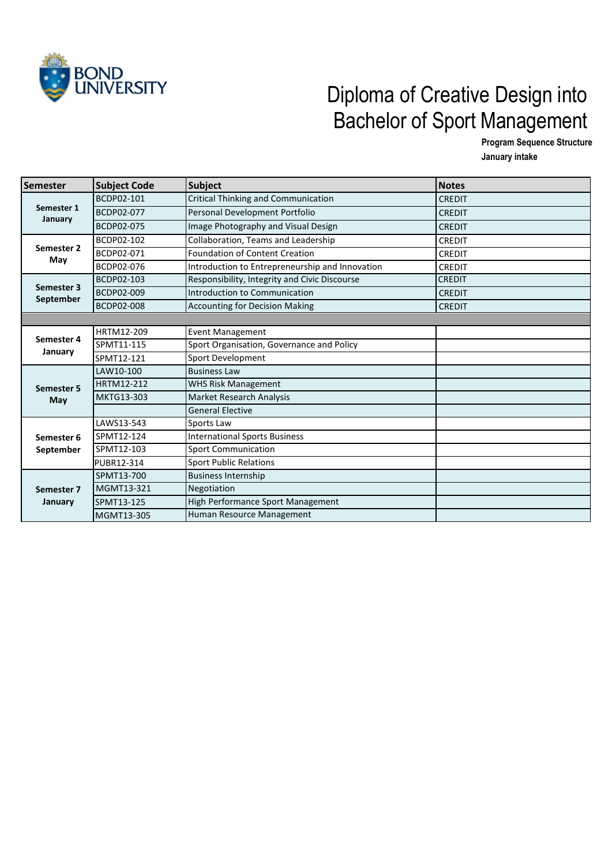

## Diploma of Creative Design into Bachelor of Sport Management

**Program Sequence Structure**

**January intake** 

| <b>Semester</b>         | <b>Subject Code</b> | <b>Subject</b>                                  | <b>Notes</b>  |
|-------------------------|---------------------|-------------------------------------------------|---------------|
| Semester 1<br>January   | BCDP02-101          | Critical Thinking and Communication             | <b>CREDIT</b> |
|                         | BCDP02-077          | Personal Development Portfolio                  | <b>CREDIT</b> |
|                         | BCDP02-075          | Image Photography and Visual Design             | <b>CREDIT</b> |
| Semester 2<br>May       | BCDP02-102          | Collaboration, Teams and Leadership             | <b>CREDIT</b> |
|                         | BCDP02-071          | Foundation of Content Creation                  | <b>CREDIT</b> |
|                         | BCDP02-076          | Introduction to Entrepreneurship and Innovation | <b>CREDIT</b> |
| Semester 3              | BCDP02-103          | Responsibility, Integrity and Civic Discourse   | <b>CREDIT</b> |
|                         | BCDP02-009          | Introduction to Communication                   | <b>CREDIT</b> |
| September               | BCDP02-008          | <b>Accounting for Decision Making</b>           | <b>CREDIT</b> |
|                         |                     |                                                 |               |
|                         | HRTM12-209          | <b>Event Management</b>                         |               |
| Semester 4<br>January   | SPMT11-115          | Sport Organisation, Governance and Policy       |               |
|                         | SPMT12-121          | Sport Development                               |               |
| Semester 5<br>May       | LAW10-100           | <b>Business Law</b>                             |               |
|                         | HRTM12-212          | <b>WHS Risk Management</b>                      |               |
|                         | MKTG13-303          | Market Research Analysis                        |               |
|                         |                     | <b>General Elective</b>                         |               |
| Semester 6<br>September | LAWS13-543          | Sports Law                                      |               |
|                         | SPMT12-124          | <b>International Sports Business</b>            |               |
|                         | SPMT12-103          | <b>Sport Communication</b>                      |               |
|                         | PUBR12-314          | <b>Sport Public Relations</b>                   |               |
| Semester 7<br>January   | SPMT13-700          | <b>Business Internship</b>                      |               |
|                         | MGMT13-321          | Negotiation                                     |               |
|                         | SPMT13-125          | High Performance Sport Management               |               |
|                         | MGMT13-305          | Human Resource Management                       |               |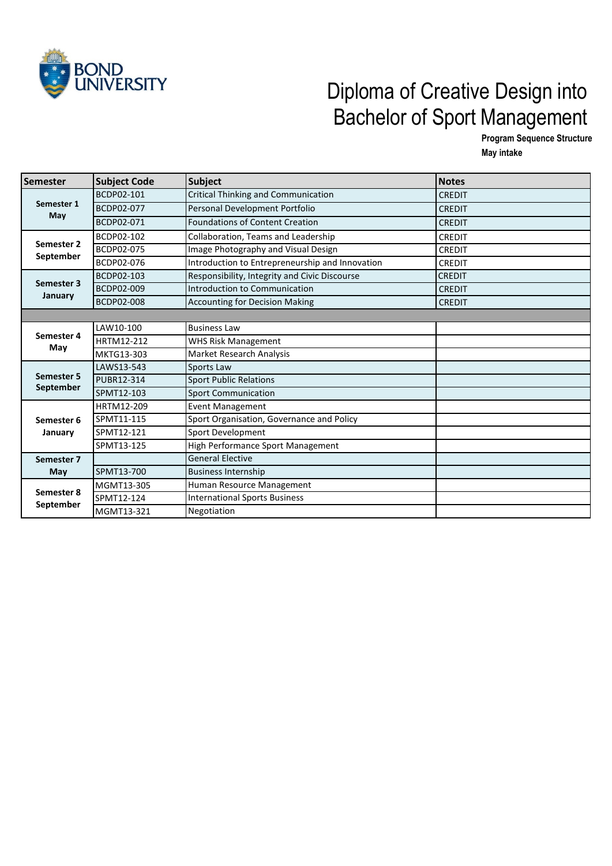

## Diploma of Creative Design into Bachelor of Sport Management

**Program Sequence Structure May intake** 

| Semester                       | <b>Subject Code</b> | <b>Subject</b>                                  | <b>Notes</b>  |
|--------------------------------|---------------------|-------------------------------------------------|---------------|
| Semester 1<br>May              | BCDP02-101          | <b>Critical Thinking and Communication</b>      | <b>CREDIT</b> |
|                                | BCDP02-077          | Personal Development Portfolio                  | <b>CREDIT</b> |
|                                | BCDP02-071          | <b>Foundations of Content Creation</b>          | <b>CREDIT</b> |
| Semester 2<br>September        | BCDP02-102          | Collaboration, Teams and Leadership             | <b>CREDIT</b> |
|                                | BCDP02-075          | Image Photography and Visual Design             | <b>CREDIT</b> |
|                                | BCDP02-076          | Introduction to Entrepreneurship and Innovation | <b>CREDIT</b> |
| Semester 3                     | BCDP02-103          | Responsibility, Integrity and Civic Discourse   | <b>CREDIT</b> |
|                                | BCDP02-009          | Introduction to Communication                   | <b>CREDIT</b> |
| January                        | BCDP02-008          | <b>Accounting for Decision Making</b>           | <b>CREDIT</b> |
|                                |                     |                                                 |               |
|                                | LAW10-100           | <b>Business Law</b>                             |               |
| Semester 4                     | HRTM12-212          | <b>WHS Risk Management</b>                      |               |
| May                            | MKTG13-303          | Market Research Analysis                        |               |
|                                | LAWS13-543          | Sports Law                                      |               |
| <b>Semester 5</b><br>September | PUBR12-314          | <b>Sport Public Relations</b>                   |               |
|                                | SPMT12-103          | <b>Sport Communication</b>                      |               |
|                                | HRTM12-209          | <b>Event Management</b>                         |               |
| Semester 6<br>January          | SPMT11-115          | Sport Organisation, Governance and Policy       |               |
|                                | SPMT12-121          | Sport Development                               |               |
|                                | SPMT13-125          | High Performance Sport Management               |               |
| Semester 7<br>May              |                     | <b>General Elective</b>                         |               |
|                                | SPMT13-700          | <b>Business Internship</b>                      |               |
| Semester 8<br>September        | MGMT13-305          | Human Resource Management                       |               |
|                                | SPMT12-124          | <b>International Sports Business</b>            |               |
|                                | MGMT13-321          | Negotiation                                     |               |